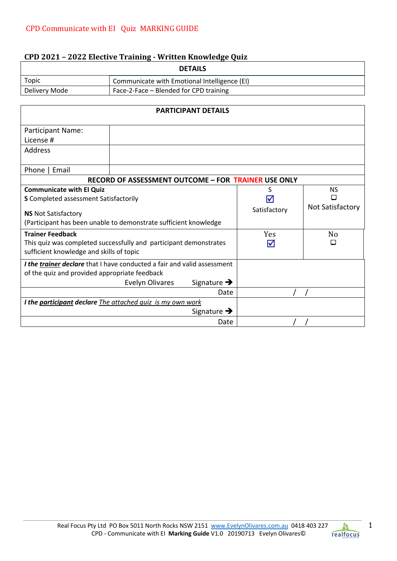# **CPD 2021 - 2022 Elective Training - Written Knowledge Quiz**

| <b>DETAILS</b> |                                              |  |  |
|----------------|----------------------------------------------|--|--|
| Topic          | Communicate with Emotional Intelligence (EI) |  |  |
| Delivery Mode  | Face-2-Face – Blended for CPD training       |  |  |

| <b>PARTICIPANT DETAILS</b>                                                                                               |                                                   |              |                  |  |
|--------------------------------------------------------------------------------------------------------------------------|---------------------------------------------------|--------------|------------------|--|
| <b>Participant Name:</b>                                                                                                 |                                                   |              |                  |  |
| License #                                                                                                                |                                                   |              |                  |  |
| Address                                                                                                                  |                                                   |              |                  |  |
| Phone  <br>Email                                                                                                         |                                                   |              |                  |  |
| <b>RECORD OF ASSESSMENT OUTCOME - FOR TRAINER USE ONLY</b>                                                               |                                                   |              |                  |  |
| <b>Communicate with EI Quiz</b>                                                                                          |                                                   | S            | <b>NS</b>        |  |
| <b>S</b> Completed assessment Satisfactorily                                                                             |                                                   |              | П                |  |
| <b>NS</b> Not Satisfactory                                                                                               |                                                   | Satisfactory | Not Satisfactory |  |
| (Participant has been unable to demonstrate sufficient knowledge                                                         |                                                   |              |                  |  |
| <b>Trainer Feedback</b>                                                                                                  |                                                   | <b>Yes</b>   | No               |  |
| This quiz was completed successfully and participant demonstrates                                                        |                                                   | IV           |                  |  |
| sufficient knowledge and skills of topic                                                                                 |                                                   |              |                  |  |
| I the trainer declare that I have conducted a fair and valid assessment<br>of the quiz and provided appropriate feedback |                                                   |              |                  |  |
|                                                                                                                          | Signature $\rightarrow$<br><b>Evelyn Olivares</b> |              |                  |  |
| Date                                                                                                                     |                                                   |              |                  |  |
| I the participant declare The attached quiz is my own work                                                               |                                                   |              |                  |  |
| Signature $\rightarrow$                                                                                                  |                                                   |              |                  |  |
|                                                                                                                          | Date                                              |              |                  |  |

1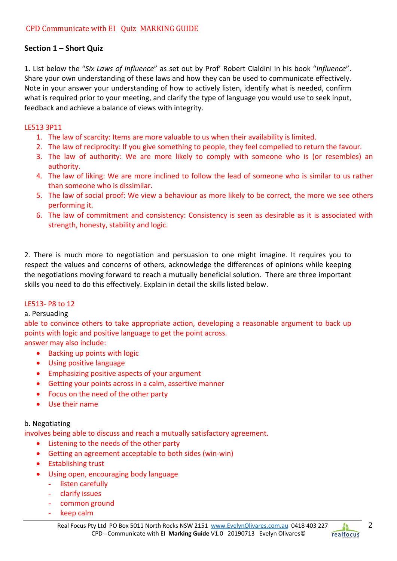# **Section 1 – Short Quiz**

1. List below the "*Six Laws of Influence*" as set out by Prof' Robert Cialdini in his book "*Influence*". Share your own understanding of these laws and how they can be used to communicate effectively. Note in your answer your understanding of how to actively listen, identify what is needed, confirm what is required prior to your meeting, and clarify the type of language you would use to seek input, feedback and achieve a balance of views with integrity.

## LE513 3P11

- 1. The law of scarcity: Items are more valuable to us when their availability is limited.
- 2. The law of reciprocity: If you give something to people, they feel compelled to return the favour.
- 3. The law of authority: We are more likely to comply with someone who is (or resembles) an authority.
- 4. The law of liking: We are more inclined to follow the lead of someone who is similar to us rather than someone who is dissimilar.
- 5. The law of social proof: We view a behaviour as more likely to be correct, the more we see others performing it.
- 6. The law of commitment and consistency: Consistency is seen as desirable as it is associated with strength, honesty, stability and logic.

2. There is much more to negotiation and persuasion to one might imagine. It requires you to respect the values and concerns of others, acknowledge the differences of opinions while keeping the negotiations moving forward to reach a mutually beneficial solution. There are three important skills you need to do this effectively. Explain in detail the skills listed below.

## LE513- P8 to 12

## a. Persuading

able to convince others to take appropriate action, developing a reasonable argument to back up points with logic and positive language to get the point across.

answer may also include:

- Backing up points with logic
- Using positive language
- Emphasizing positive aspects of your argument
- Getting your points across in a calm, assertive manner
- Focus on the need of the other party
- Use their name

## b. Negotiating

involves being able to discuss and reach a mutually satisfactory agreement.

- Listening to the needs of the other party
- Getting an agreement acceptable to both sides (win-win)
- Establishing trust
- Using open, encouraging body language
	- listen carefully
	- clarify issues
	- common ground
	- keep calm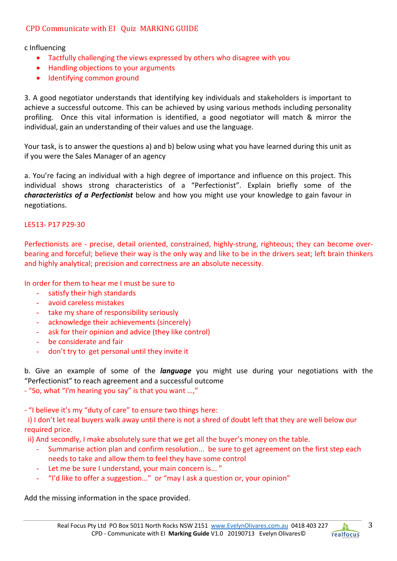# CPD Communicate with EI Ouiz MARKING GUIDE

c Influencing

- Tactfully challenging the views expressed by others who disagree with you
- Handling objections to your arguments
- Identifying common ground

3. A good negotiator understands that identifying key individuals and stakeholders is important to achieve a successful outcome. This can be achieved by using various methods including personality profiling. Once this vital information is identified, a good negotiator will match & mirror the individual, gain an understanding of their values and use the language.

Your task, is to answer the questions a) and b) below using what you have learned during this unit as if you were the Sales Manager of an agency

a. You're facing an individual with a high degree of importance and influence on this project. This individual shows strong characteristics of a "Perfectionist". Explain briefly some of the *characteristics of a Perfectionist* below and how you might use your knowledge to gain favour in negotiations.

#### LE513- P17 P29-30

Perfectionists are - precise, detail oriented, constrained, highly-strung, righteous; they can become overbearing and forceful; believe their way is the only way and like to be in the drivers seat; left brain thinkers and highly analytical; precision and correctness are an absolute necessity.

In order for them to hear me I must be sure to

- satisfy their high standards
- avoid careless mistakes
- take my share of responsibility seriously
- acknowledge their achievements (sincerely)
- ask for their opinion and advice (they like control)
- be considerate and fair
- don't try to get personal until they invite it

b. Give an example of some of the *language* you might use during your negotiations with the "Perfectionist" to reach agreement and a successful outcome

- "So, what "I'm hearing you say" is that you want …,"

- "I believe it's my "duty of care" to ensure two things here:

 i) I don't let real buyers walk away until there is not a shred of doubt left that they are well below our required price.

ii) And secondly, I make absolutely sure that we get all the buyer's money on the table.

- Summarise action plan and confirm resolution... be sure to get agreement on the first step each needs to take and allow them to feel they have some control
- Let me be sure I understand, your main concern is... "
- "I'd like to offer a suggestion..." or "may I ask a question or, your opinion"

Add the missing information in the space provided.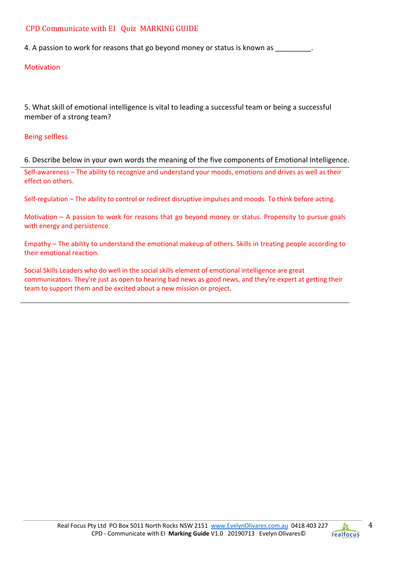## CPD Communicate with EI Quiz MARKING GUIDE

4. A passion to work for reasons that go beyond money or status is known as  $\sim$ 

### Motivation

5. What skill of emotional intelligence is vital to leading a successful team or being a successful member of a strong team?

#### Being selfless

6. Describe below in your own words the meaning of the five components of Emotional Intelligence.

Self-awareness – The ability to recognize and understand your moods, emotions and drives as well as their effect on others.

Self-regulation – The ability to control or redirect disruptive impulses and moods. To think before acting.

Motivation – A passion to work for reasons that go beyond money or status. Propensity to pursue goals with energy and persistence.

Empathy – The ability to understand the emotional makeup of others. Skills in treating people according to their emotional reaction.

Social Skills Leaders who do well in the social skills element of emotional intelligence are great communicators. They're just as open to hearing bad news as good news, and they're expert at getting their team to support them and be excited about a new mission or project.

4